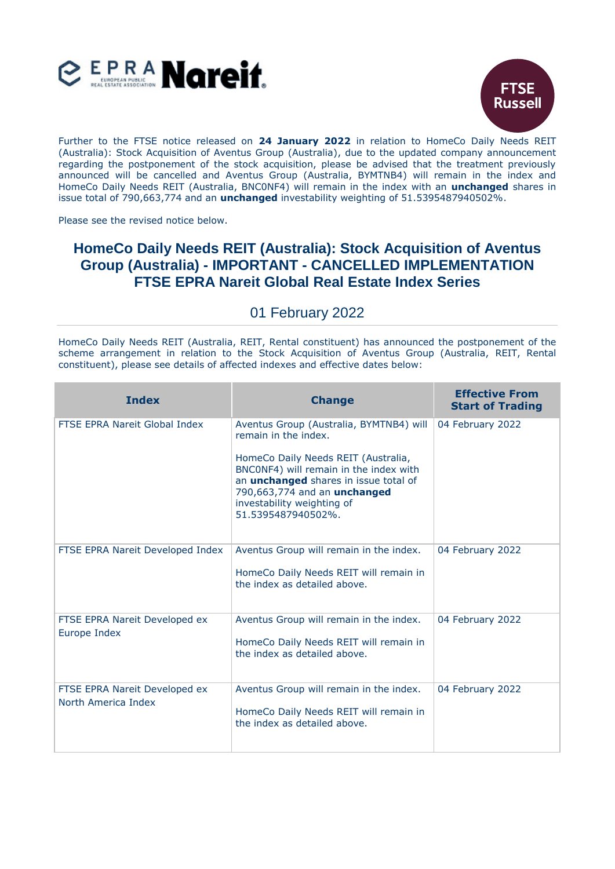



Further to the FTSE notice released on **24 January 2022** in relation to HomeCo Daily Needs REIT (Australia): Stock Acquisition of Aventus Group (Australia), due to the updated company announcement regarding the postponement of the stock acquisition, please be advised that the treatment previously announced will be cancelled and Aventus Group (Australia, BYMTNB4) will remain in the index and HomeCo Daily Needs REIT (Australia, BNC0NF4) will remain in the index with an **unchanged** shares in issue total of 790,663,774 and an **unchanged** investability weighting of 51.5395487940502%.

Please see the revised notice below.

## **HomeCo Daily Needs REIT (Australia): Stock Acquisition of Aventus Group (Australia) - IMPORTANT - CANCELLED IMPLEMENTATION FTSE EPRA Nareit Global Real Estate Index Series**

## 01 February 2022

HomeCo Daily Needs REIT (Australia, REIT, Rental constituent) has announced the postponement of the scheme arrangement in relation to the Stock Acquisition of Aventus Group (Australia, REIT, Rental constituent), please see details of affected indexes and effective dates below:

| <b>Index</b>                                         | <b>Change</b>                                                                                                                                                                                                                                                                        | <b>Effective From</b><br><b>Start of Trading</b> |
|------------------------------------------------------|--------------------------------------------------------------------------------------------------------------------------------------------------------------------------------------------------------------------------------------------------------------------------------------|--------------------------------------------------|
| FTSE EPRA Nareit Global Index                        | Aventus Group (Australia, BYMTNB4) will<br>remain in the index.<br>HomeCo Daily Needs REIT (Australia,<br>BNC0NF4) will remain in the index with<br>an <i>unchanged</i> shares in issue total of<br>790,663,774 and an unchanged<br>investability weighting of<br>51.5395487940502%. | 04 February 2022                                 |
| FTSE EPRA Nareit Developed Index                     | Aventus Group will remain in the index.<br>HomeCo Daily Needs REIT will remain in<br>the index as detailed above.                                                                                                                                                                    | 04 February 2022                                 |
| FTSE EPRA Nareit Developed ex<br>Europe Index        | Aventus Group will remain in the index.<br>HomeCo Daily Needs REIT will remain in<br>the index as detailed above.                                                                                                                                                                    | 04 February 2022                                 |
| FTSE EPRA Nareit Developed ex<br>North America Index | Aventus Group will remain in the index.<br>HomeCo Daily Needs REIT will remain in<br>the index as detailed above.                                                                                                                                                                    | 04 February 2022                                 |